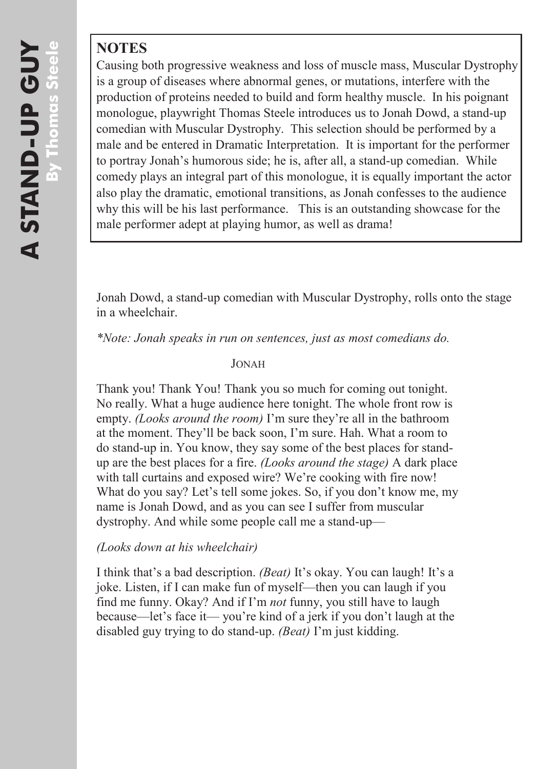## **NOTES**

Causing both progressive weakness and loss of muscle mass, Muscular Dystrophy is a group of diseases where abnormal genes, or mutations, interfere with the production of proteins needed to build and form healthy muscle. In his poignant monologue, playwright Thomas Steele introduces us to Jonah Dowd, a stand-up comedian with Muscular Dystrophy. This selection should be performed by a male and be entered in Dramatic Interpretation. It is important for the performer to portray Jonah's humorous side; he is, after all, a stand-up comedian. While comedy plays an integral part of this monologue, it is equally important the actor also play the dramatic, emotional transitions, as Jonah confesses to the audience why this will be his last performance. This is an outstanding showcase for the male performer adept at playing humor, as well as drama!

Jonah Dowd, a stand-up comedian with Muscular Dystrophy, rolls onto the stage in a wheelchair.

*\*Note: Jonah speaks in run on sentences, just as most comedians do.*

## JONAH

Thank you! Thank You! Thank you so much for coming out tonight. No really. What a huge audience here tonight. The whole front row is empty. *(Looks around the room)* I'm sure they're all in the bathroom at the moment. They'll be back soon, I'm sure. Hah. What a room to do stand-up in. You know, they say some of the best places for standup are the best places for a fire. *(Looks around the stage)* A dark place with tall curtains and exposed wire? We're cooking with fire now! What do you say? Let's tell some jokes. So, if you don't know me, my name is Jonah Dowd, and as you can see I suffer from muscular dystrophy. And while some people call me a stand-up—

## *(Looks down at his wheelchair)*

I think that's a bad description. *(Beat)* It's okay. You can laugh! It's a joke. Listen, if I can make fun of myself—then you can laugh if you find me funny. Okay? And if I'm *not* funny, you still have to laugh because—let's face it— you're kind of a jerk if you don't laugh at the disabled guy trying to do stand-up. *(Beat)* I'm just kidding.